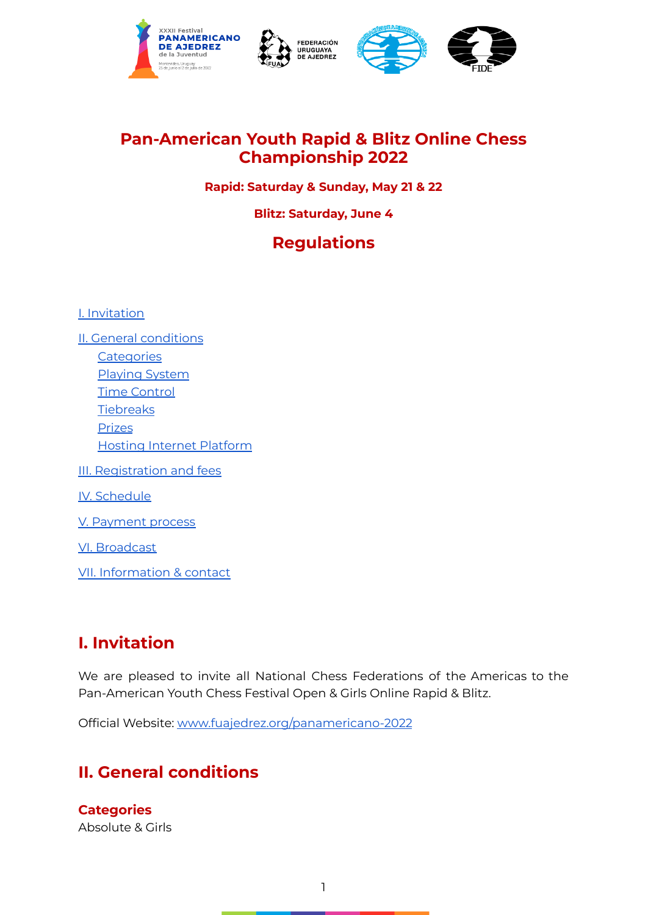





### **Pan-American Youth Rapid & Blitz Online Chess Championship 2022**

#### **Rapid: Saturday & Sunday, May 21 & 22**

#### **Blitz: Saturday, June 4**

## **Regulations**

I. [Invitation](#page-0-0)

II. General [conditions](#page-0-1) **[Categories](#page-0-2)** [Playing](#page-1-0) System Time [Control](#page-1-1) **[Tiebreaks](#page-1-2)** [Prizes](#page-1-3) Hosting Internet [Platform](#page-2-0) III. [Registration](#page-2-1) and fees IV. [Schedule](#page-2-2) V. [Payment](#page-2-3) process VI. [Broadcast](#page-2-4) VII. [Information](#page-3-0) & contact

### <span id="page-0-0"></span>**I. Invitation**

We are pleased to invite all National Chess Federations of the Americas to the Pan-American Youth Chess Festival Open & Girls Online Rapid & Blitz.

Official Website[:](http://www.fuajedrez.org/panamericano2016) [www.fuajedrez.org/panamericano-2022](http://www.fuajedrez.org/panamericano-2022)

### <span id="page-0-1"></span>**II. General conditions**

<span id="page-0-2"></span>**Categories** Absolute & Girls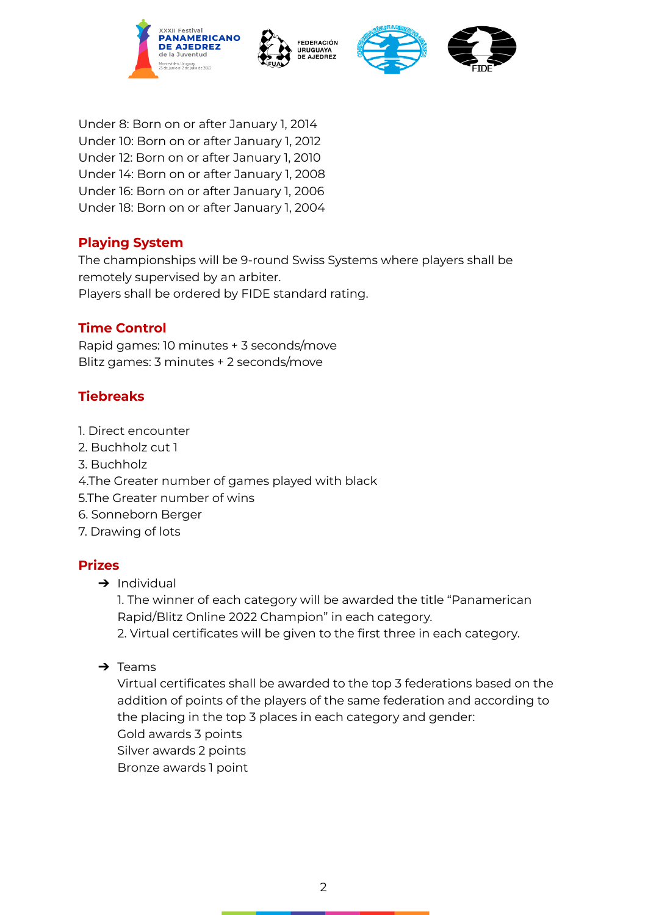





Under 8: Born on or after January 1, 2014 Under 10: Born on or after January 1, 2012 Under 12: Born on or after January 1, 2010 Under 14: Born on or after January 1, 2008 Under 16: Born on or after January 1, 2006 Under 18: Born on or after January 1, 2004

#### <span id="page-1-0"></span>**Playing System**

The championships will be 9-round Swiss Systems where players shall be remotely supervised by an arbiter.

Players shall be ordered by FIDE standard rating.

#### <span id="page-1-1"></span>**Time Control**

Rapid games: 10 minutes + 3 seconds/move Blitz games: 3 minutes + 2 seconds/move

### <span id="page-1-2"></span>**Tiebreaks**

- 1. Direct encounter
- 2. Buchholz cut 1
- 3. Buchholz
- 4.The Greater number of games played with black
- 5.The Greater number of wins
- 6. Sonneborn Berger
- 7. Drawing of lots

#### <span id="page-1-3"></span>**Prizes**

 $\rightarrow$  Individual

1. The winner of each category will be awarded the title "Panamerican Rapid/Blitz Online 2022 Champion" in each category.

2. Virtual certificates will be given to the first three in each category.

 $\rightarrow$  Teams

Virtual certificates shall be awarded to the top 3 federations based on the addition of points of the players of the same federation and according to the placing in the top 3 places in each category and gender: Gold awards 3 points Silver awards 2 points Bronze awards 1 point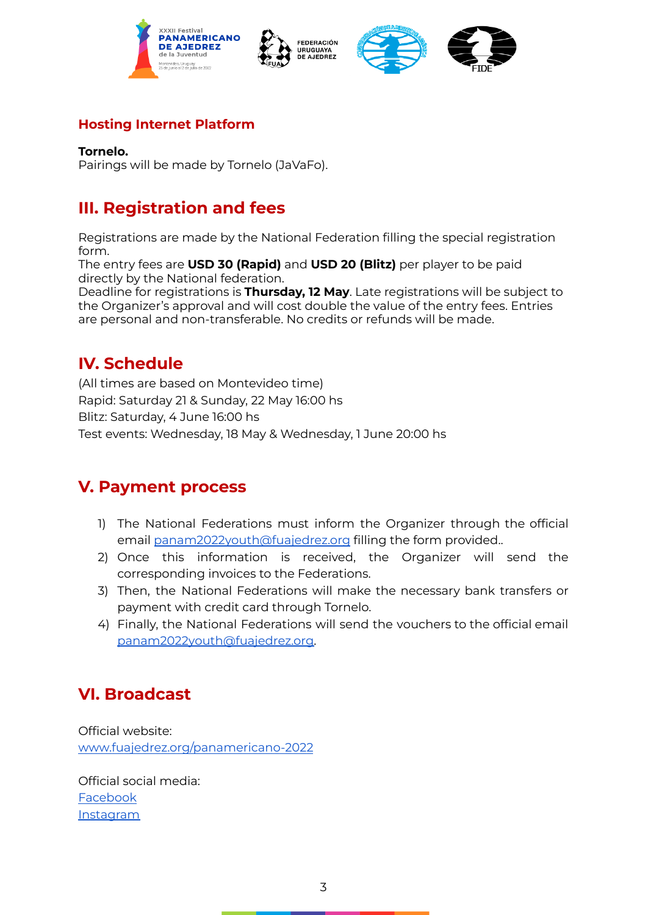







#### <span id="page-2-0"></span>**Hosting Internet Platform**

#### **Tornelo.**

Pairings will be made by Tornelo (JaVaFo).

### <span id="page-2-1"></span>**III. Registration and fees**

Registrations are made by the National Federation filling the special registration form.

The entry fees are **USD 30 (Rapid)** and **USD 20 (Blitz)** per player to be paid directly by the National federation.

Deadline for registrations is **Thursday, 12 May**. Late registrations will be subject to the Organizer's approval and will cost double the value of the entry fees. Entries are personal and non-transferable. No credits or refunds will be made.

### <span id="page-2-2"></span>**IV. Schedule**

(All times are based on Montevideo time) Rapid: Saturday 21 & Sunday, 22 May 16:00 hs Blitz: Saturday, 4 June 16:00 hs Test events: Wednesday, 18 May & Wednesday, 1 June 20:00 hs

### <span id="page-2-3"></span>**V. Payment process**

- 1) The National Federations must inform the Organizer through the official email [panam2022youth@fuajedrez.org](mailto:panam2022youth@fuajedrez.org) filling the form provided..
- 2) Once this information is received, the Organizer will send the corresponding invoices to the Federations.
- 3) Then, the National Federations will make the necessary bank transfers or payment with credit card through Tornelo.
- 4) Finally, the National Federations will send the vouchers to the official email [panam2022youth@fuajedrez.org.](mailto:panam2022youth@fuajedrez.org)

### <span id="page-2-4"></span>**VI. Broadcast**

Official website: [www.fuajedrez.org/panamericano-2022](http://www.fuajedrez.org/panamericano-2022)

Official social media: [Facebook](https://www.facebook.com/FederacionUruguayadeAjedrez) [Instagram](https://www.instagram.com/fuajedrez/)